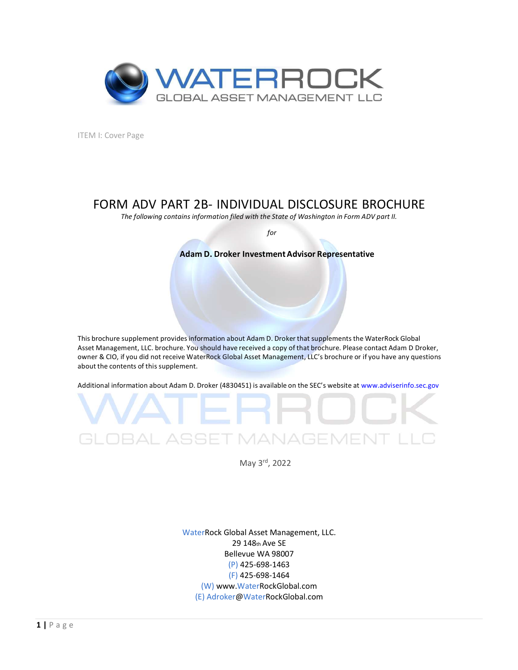

ITEM I: Cover Page

## FORM ADV PART 2B- INDIVIDUAL DISCLOSURE BROCHURE

The following contains information filed with the State of Washington in Form ADV part II.

for

## Adam D. Droker Investment Advisor Representative

This brochure supplement providesinformation about Adam D. Droker that supplements the WaterRock Global Asset Management, LLC. brochure. You should have received a copy of that brochure. Please contact Adam D Droker, owner & CIO, if you did not receive WaterRock Global Asset Management, LLC's brochure or if you have any questions about the contents of this supplement.

Additional information about Adam D. Droker (4830451) is available on the SEC's website at www.adviserinfo.sec.gov



CLOBAL ASSET MANAGEM<br>
May 3<sup>rd</sup>, 2022<br>
WaterRock Global Asset Management, LLC.<br>
29 148<sub>th</sub> Ave SE<br>
Bellevue WA 98007<br>
(P) 425-698-1464<br>
(W) www.WaterRockGlobal.com<br>
(E) Adroker@WaterRockGlobal.com<br>
1 | P a g e WaterRock Global Asset Management, LLC. 29 148th Ave SE Bellevue WA 98007 (P) 425-698-1463 (F) 425-698-1464 (W) www.WaterRockGlobal.com (E) Adroker@WaterRockGlobal.com